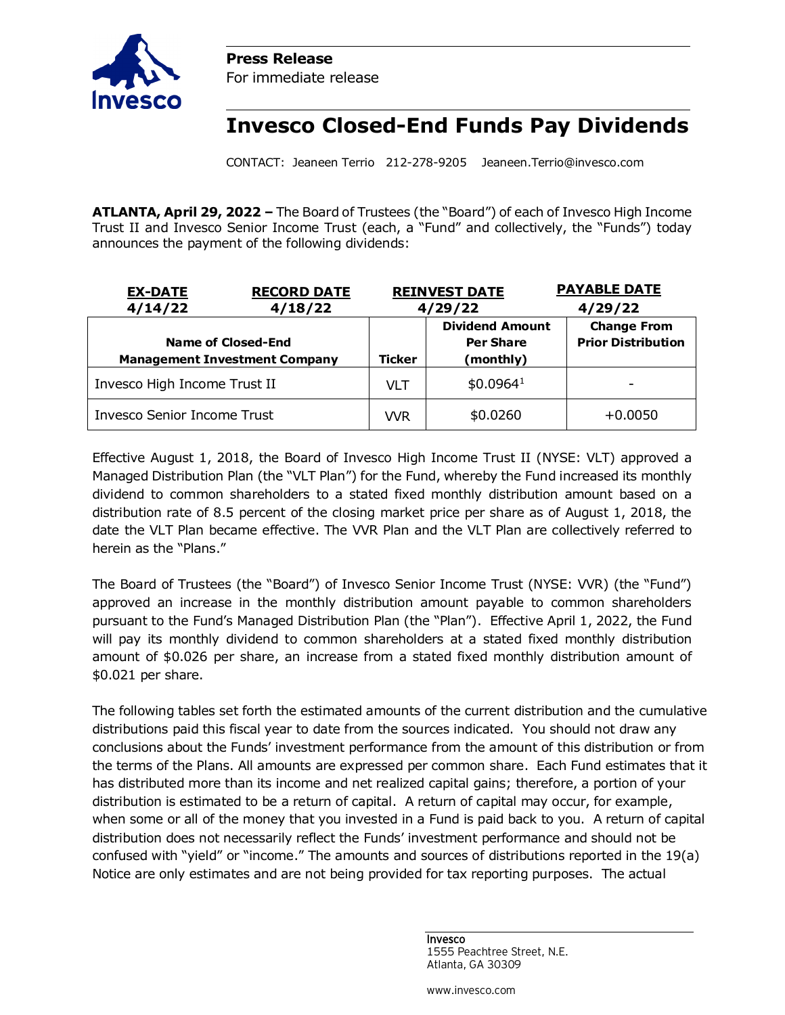



**Invesco Closed-End Funds Pay Dividends**

CONTACT: Jeaneen Terrio 212-278-9205 Jeaneen.Terrio@invesco.com

**ATLANTA, April 29, 2022 –** The Board of Trustees (the "Board") of each of Invesco High Income Trust II and Invesco Senior Income Trust (each, a "Fund" and collectively, the "Funds") today announces the payment of the following dividends:

| <b>RECORD DATE</b><br><b>EX-DATE</b> |         |               | <b>REINVEST DATE</b>                       | <b>PAYABLE DATE</b>                             |  |
|--------------------------------------|---------|---------------|--------------------------------------------|-------------------------------------------------|--|
| 4/14/22                              | 4/18/22 | 4/29/22       |                                            | 4/29/22                                         |  |
| Name of Closed-End                   |         |               | <b>Dividend Amount</b><br><b>Per Share</b> | <b>Change From</b><br><b>Prior Distribution</b> |  |
| <b>Management Investment Company</b> |         | <b>Ticker</b> | (monthly)                                  |                                                 |  |
| Invesco High Income Trust II         |         | VLT           | \$0.0964 <sup>1</sup>                      |                                                 |  |
| <b>Invesco Senior Income Trust</b>   |         | <b>VVR</b>    | \$0.0260                                   | $+0.0050$                                       |  |

Effective August 1, 2018, the Board of Invesco High Income Trust II (NYSE: VLT) approved a Managed Distribution Plan (the "VLT Plan") for the Fund, whereby the Fund increased its monthly dividend to common shareholders to a stated fixed monthly distribution amount based on a distribution rate of 8.5 percent of the closing market price per share as of August 1, 2018, the date the VLT Plan became effective. The VVR Plan and the VLT Plan are collectively referred to herein as the "Plans."

The Board of Trustees (the "Board") of Invesco Senior Income Trust (NYSE: VVR) (the "Fund") approved an increase in the monthly distribution amount payable to common shareholders pursuant to the Fund's Managed Distribution Plan (the "Plan"). Effective April 1, 2022, the Fund will pay its monthly dividend to common shareholders at a stated fixed monthly distribution amount of \$0.026 per share, an increase from a stated fixed monthly distribution amount of \$0.021 per share.

The following tables set forth the estimated amounts of the current distribution and the cumulative distributions paid this fiscal year to date from the sources indicated. You should not draw any conclusions about the Funds' investment performance from the amount of this distribution or from the terms of the Plans. All amounts are expressed per common share. Each Fund estimates that it has distributed more than its income and net realized capital gains; therefore, a portion of your distribution is estimated to be a return of capital. A return of capital may occur, for example, when some or all of the money that you invested in a Fund is paid back to you. A return of capital distribution does not necessarily reflect the Funds' investment performance and should not be confused with "yield" or "income." The amounts and sources of distributions reported in the 19(a) Notice are only estimates and are not being provided for tax reporting purposes. The actual

> Invesco 1555 Peachtree Street, N.E. Atlanta, GA 30309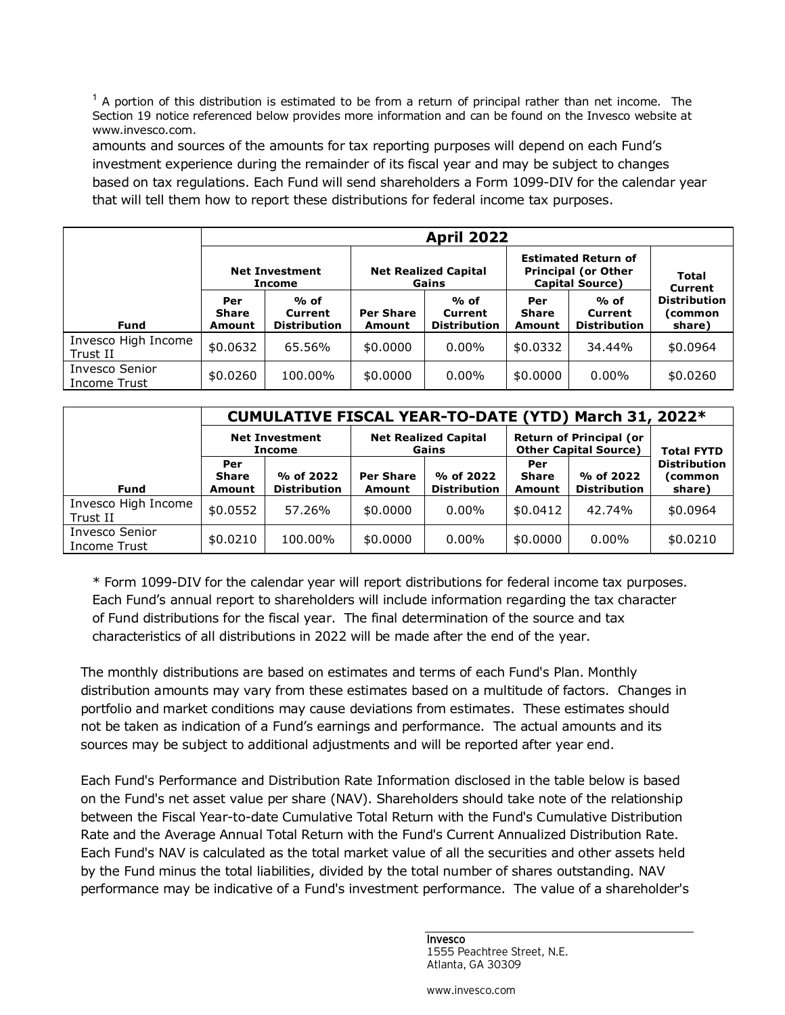$<sup>1</sup>$  A portion of this distribution is estimated to be from a return of principal rather than net income. The</sup> Section 19 notice referenced below provides more information and can be found on the Invesco website at www.invesco.com.

amounts and sources of the amounts for tax reporting purposes will depend on each Fund's investment experience during the remainder of its fiscal year and may be subject to changes based on tax regulations. Each Fund will send shareholders a Form 1099-DIV for the calendar year that will tell them how to report these distributions for federal income tax purposes.

|                                 | <b>April 2022</b>                      |                                          |                                      |                                        |                                                                                    |                                        |                                          |
|---------------------------------|----------------------------------------|------------------------------------------|--------------------------------------|----------------------------------------|------------------------------------------------------------------------------------|----------------------------------------|------------------------------------------|
|                                 | <b>Net Investment</b><br><b>Income</b> |                                          | <b>Net Realized Capital</b><br>Gains |                                        | <b>Estimated Return of</b><br><b>Principal (or Other</b><br><b>Capital Source)</b> |                                        | <b>Total</b><br><b>Current</b>           |
| <b>Fund</b>                     | Per<br><b>Share</b><br>Amount          | $%$ of<br>Current<br><b>Distribution</b> | <b>Per Share</b><br>Amount           | % of<br>Current<br><b>Distribution</b> | Per<br><b>Share</b><br>Amount                                                      | % of<br>Current<br><b>Distribution</b> | <b>Distribution</b><br>(common<br>share) |
| Invesco High Income<br>Trust II | \$0.0632                               | 65.56%                                   | \$0,0000                             | $0.00\%$                               | \$0.0332                                                                           | 34.44%                                 | \$0.0964                                 |
| Invesco Senior<br>Income Trust  | \$0.0260                               | 100.00%                                  | \$0.0000                             | $0.00\%$                               | \$0,0000                                                                           | $0.00\%$                               | \$0.0260                                 |

|                                 |                                      |                                  | CUMULATIVE FISCAL YEAR-TO-DATE (YTD) March 31, 2022* |                                  |                                                                |                                  |                                          |
|---------------------------------|--------------------------------------|----------------------------------|------------------------------------------------------|----------------------------------|----------------------------------------------------------------|----------------------------------|------------------------------------------|
|                                 | <b>Net Investment</b><br>Income      |                                  | <b>Net Realized Capital</b><br>Gains                 |                                  | <b>Return of Principal (or</b><br><b>Other Capital Source)</b> |                                  | <b>Total FYTD</b>                        |
| <b>Fund</b>                     | Per<br><b>Share</b><br><b>Amount</b> | % of 2022<br><b>Distribution</b> | <b>Per Share</b><br>Amount                           | % of 2022<br><b>Distribution</b> | Per<br><b>Share</b><br>Amount                                  | % of 2022<br><b>Distribution</b> | <b>Distribution</b><br>(common<br>share) |
| Invesco High Income<br>Trust II | \$0.0552                             | 57.26%                           | \$0.0000                                             | $0.00\%$                         | \$0.0412                                                       | 42.74%                           | \$0.0964                                 |
| Invesco Senior<br>Income Trust  | \$0.0210                             | 100.00%                          | \$0.0000                                             | $0.00\%$                         | \$0,0000                                                       | $0.00\%$                         | \$0.0210                                 |

\* Form 1099-DIV for the calendar year will report distributions for federal income tax purposes. Each Fund's annual report to shareholders will include information regarding the tax character of Fund distributions for the fiscal year. The final determination of the source and tax characteristics of all distributions in 2022 will be made after the end of the year.

The monthly distributions are based on estimates and terms of each Fund's Plan. Monthly distribution amounts may vary from these estimates based on a multitude of factors. Changes in portfolio and market conditions may cause deviations from estimates. These estimates should not be taken as indication of a Fund's earnings and performance. The actual amounts and its sources may be subject to additional adjustments and will be reported after year end.

Each Fund's Performance and Distribution Rate Information disclosed in the table below is based on the Fund's net asset value per share (NAV). Shareholders should take note of the relationship between the Fiscal Year-to-date Cumulative Total Return with the Fund's Cumulative Distribution Rate and the Average Annual Total Return with the Fund's Current Annualized Distribution Rate. Each Fund's NAV is calculated as the total market value of all the securities and other assets held by the Fund minus the total liabilities, divided by the total number of shares outstanding. NAV performance may be indicative of a Fund's investment performance. The value of a shareholder's

> Invesco 1555 Peachtree Street, N.E. Atlanta, GA 30309

www.invesco.com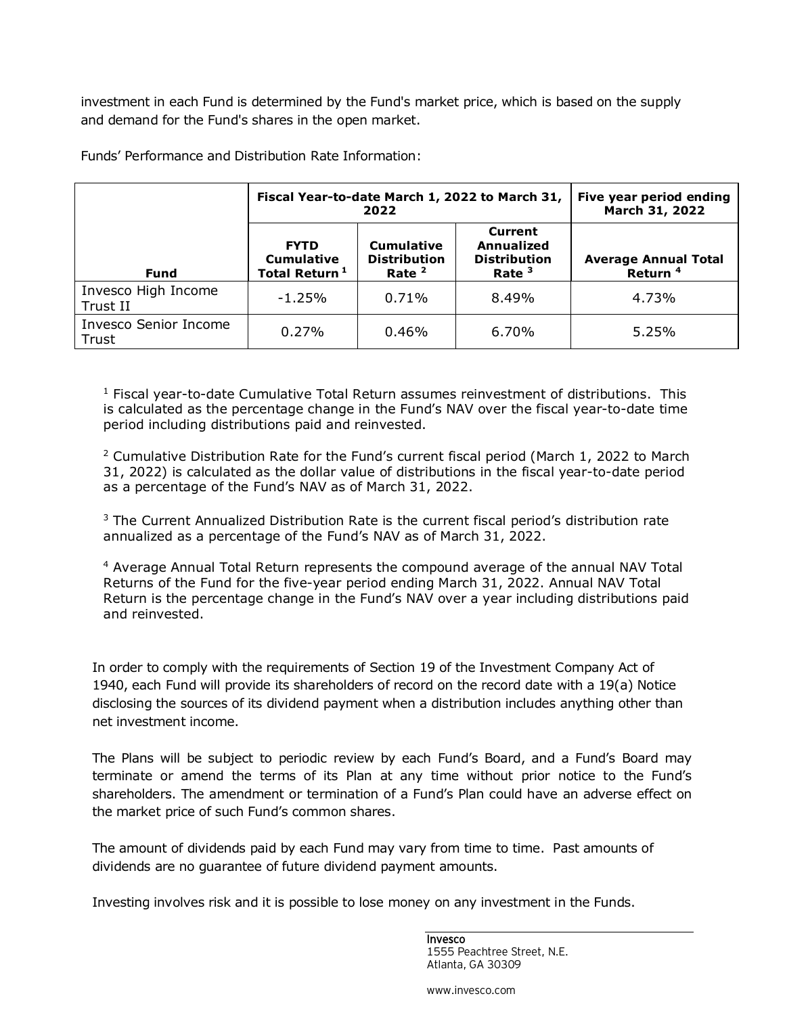investment in each Fund is determined by the Fund's market price, which is based on the supply and demand for the Fund's shares in the open market.

|                                       | Fiscal Year-to-date March 1, 2022 to March 31,                | Five year period ending<br>March 31, 2022            |                                                          |                                                    |
|---------------------------------------|---------------------------------------------------------------|------------------------------------------------------|----------------------------------------------------------|----------------------------------------------------|
| <b>Fund</b>                           | <b>FYTD</b><br><b>Cumulative</b><br>Total Return <sup>1</sup> | <b>Cumulative</b><br><b>Distribution</b><br>Rate $2$ | Current<br>Annualized<br><b>Distribution</b><br>Rate $3$ | <b>Average Annual Total</b><br>Return <sup>4</sup> |
| Invesco High Income<br>Trust II       | $-1.25%$                                                      | 0.71%                                                | 8.49%                                                    | 4.73%                                              |
| <b>Invesco Senior Income</b><br>Trust | $0.27\%$                                                      | $0.46\%$                                             | $6.70\%$                                                 | 5.25%                                              |

Funds' Performance and Distribution Rate Information:

<sup>1</sup> Fiscal year-to-date Cumulative Total Return assumes reinvestment of distributions. This is calculated as the percentage change in the Fund's NAV over the fiscal year-to-date time period including distributions paid and reinvested.

<sup>2</sup> Cumulative Distribution Rate for the Fund's current fiscal period (March 1, 2022 to March 31, 2022) is calculated as the dollar value of distributions in the fiscal year-to-date period as a percentage of the Fund's NAV as of March 31, 2022.

<sup>3</sup> The Current Annualized Distribution Rate is the current fiscal period's distribution rate annualized as a percentage of the Fund's NAV as of March 31, 2022.

<sup>4</sup> Average Annual Total Return represents the compound average of the annual NAV Total Returns of the Fund for the five-year period ending March 31, 2022. Annual NAV Total Return is the percentage change in the Fund's NAV over a year including distributions paid and reinvested.

In order to comply with the requirements of Section 19 of the Investment Company Act of 1940, each Fund will provide its shareholders of record on the record date with a 19(a) Notice disclosing the sources of its dividend payment when a distribution includes anything other than net investment income.

The Plans will be subject to periodic review by each Fund's Board, and a Fund's Board may terminate or amend the terms of its Plan at any time without prior notice to the Fund's shareholders. The amendment or termination of a Fund's Plan could have an adverse effect on the market price of such Fund's common shares.

The amount of dividends paid by each Fund may vary from time to time. Past amounts of dividends are no guarantee of future dividend payment amounts.

Investing involves risk and it is possible to lose money on any investment in the Funds.

Invesco 1555 Peachtree Street, N.E. Atlanta, GA 30309